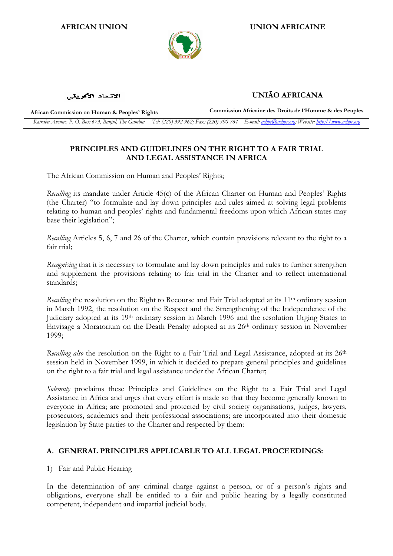

## AFRICAN UNION UNION AFRICAINE

الاتحاد الأفريقي

UNIÃO AFRICANA

African Commission on Human & Peoples' Rights Commission Africaine des Droits de l'Homme & des Peuples Kairaba Avenue, P. O. Box 673, Banjul, The Gambia Tel: (220) 392 962; Fax: (220) 390 764 E-mail: achpr@achpr.org; Website: http://www.achpr.org

# PRINCIPLES AND GUIDELINES ON THE RIGHT TO A FAIR TRIAL AND LEGAL ASSISTANCE IN AFRICA

The African Commission on Human and Peoples' Rights;

Recalling its mandate under Article 45(c) of the African Charter on Human and Peoples' Rights (the Charter) "to formulate and lay down principles and rules aimed at solving legal problems relating to human and peoples' rights and fundamental freedoms upon which African states may base their legislation";

Recalling Articles 5, 6, 7 and 26 of the Charter, which contain provisions relevant to the right to a fair trial;

Recognising that it is necessary to formulate and lay down principles and rules to further strengthen and supplement the provisions relating to fair trial in the Charter and to reflect international standards;

Recalling the resolution on the Right to Recourse and Fair Trial adopted at its 11<sup>th</sup> ordinary session in March 1992, the resolution on the Respect and the Strengthening of the Independence of the Judiciary adopted at its 19<sup>th</sup> ordinary session in March 1996 and the resolution Urging States to Envisage a Moratorium on the Death Penalty adopted at its 26th ordinary session in November 1999;

Recalling also the resolution on the Right to a Fair Trial and Legal Assistance, adopted at its 26<sup>th</sup> session held in November 1999, in which it decided to prepare general principles and guidelines on the right to a fair trial and legal assistance under the African Charter;

Solemnly proclaims these Principles and Guidelines on the Right to a Fair Trial and Legal Assistance in Africa and urges that every effort is made so that they become generally known to everyone in Africa; are promoted and protected by civil society organisations, judges, lawyers, prosecutors, academics and their professional associations; are incorporated into their domestic legislation by State parties to the Charter and respected by them:

## A. GENERAL PRINCIPLES APPLICABLE TO ALL LEGAL PROCEEDINGS:

## 1) Fair and Public Hearing

In the determination of any criminal charge against a person, or of a person's rights and obligations, everyone shall be entitled to a fair and public hearing by a legally constituted competent, independent and impartial judicial body.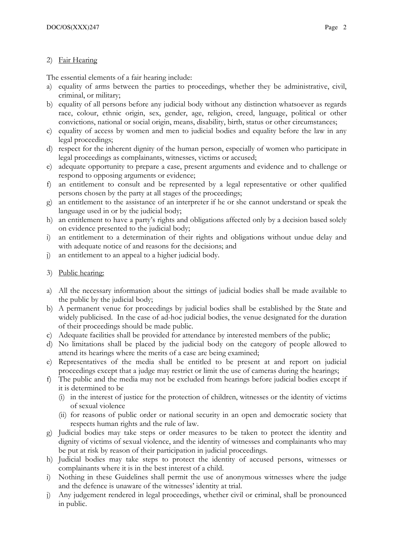## 2) Fair Hearing

The essential elements of a fair hearing include:

- a) equality of arms between the parties to proceedings, whether they be administrative, civil, criminal, or military;
- b) equality of all persons before any judicial body without any distinction whatsoever as regards race, colour, ethnic origin, sex, gender, age, religion, creed, language, political or other convictions, national or social origin, means, disability, birth, status or other circumstances;
- c) equality of access by women and men to judicial bodies and equality before the law in any legal proceedings;
- d) respect for the inherent dignity of the human person, especially of women who participate in legal proceedings as complainants, witnesses, victims or accused;
- e) adequate opportunity to prepare a case, present arguments and evidence and to challenge or respond to opposing arguments or evidence;
- f) an entitlement to consult and be represented by a legal representative or other qualified persons chosen by the party at all stages of the proceedings;
- g) an entitlement to the assistance of an interpreter if he or she cannot understand or speak the language used in or by the judicial body;
- h) an entitlement to have a party's rights and obligations affected only by a decision based solely on evidence presented to the judicial body;
- i) an entitlement to a determination of their rights and obligations without undue delay and with adequate notice of and reasons for the decisions; and
- j) an entitlement to an appeal to a higher judicial body.
- 3) Public hearing:
- a) All the necessary information about the sittings of judicial bodies shall be made available to the public by the judicial body;
- b) A permanent venue for proceedings by judicial bodies shall be established by the State and widely publicised. In the case of ad-hoc judicial bodies, the venue designated for the duration of their proceedings should be made public.
- c) Adequate facilities shall be provided for attendance by interested members of the public;
- d) No limitations shall be placed by the judicial body on the category of people allowed to attend its hearings where the merits of a case are being examined;
- e) Representatives of the media shall be entitled to be present at and report on judicial proceedings except that a judge may restrict or limit the use of cameras during the hearings;
- f) The public and the media may not be excluded from hearings before judicial bodies except if it is determined to be
	- (i) in the interest of justice for the protection of children, witnesses or the identity of victims of sexual violence
	- (ii) for reasons of public order or national security in an open and democratic society that respects human rights and the rule of law.
- g) Judicial bodies may take steps or order measures to be taken to protect the identity and dignity of victims of sexual violence, and the identity of witnesses and complainants who may be put at risk by reason of their participation in judicial proceedings.
- h) Judicial bodies may take steps to protect the identity of accused persons, witnesses or complainants where it is in the best interest of a child.
- i) Nothing in these Guidelines shall permit the use of anonymous witnesses where the judge and the defence is unaware of the witnesses' identity at trial.
- j) Any judgement rendered in legal proceedings, whether civil or criminal, shall be pronounced in public.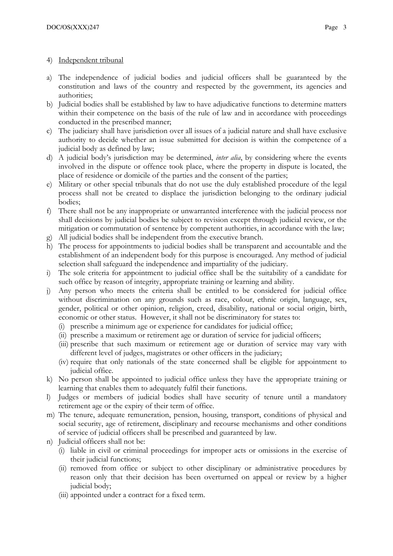- 4) Independent tribunal
- a) The independence of judicial bodies and judicial officers shall be guaranteed by the constitution and laws of the country and respected by the government, its agencies and authorities;
- b) Judicial bodies shall be established by law to have adjudicative functions to determine matters within their competence on the basis of the rule of law and in accordance with proceedings conducted in the prescribed manner;
- c) The judiciary shall have jurisdiction over all issues of a judicial nature and shall have exclusive authority to decide whether an issue submitted for decision is within the competence of a judicial body as defined by law;
- d) A judicial body's jurisdiction may be determined, *inter alia*, by considering where the events involved in the dispute or offence took place, where the property in dispute is located, the place of residence or domicile of the parties and the consent of the parties;
- e) Military or other special tribunals that do not use the duly established procedure of the legal process shall not be created to displace the jurisdiction belonging to the ordinary judicial bodies;
- f) There shall not be any inappropriate or unwarranted interference with the judicial process nor shall decisions by judicial bodies be subject to revision except through judicial review, or the mitigation or commutation of sentence by competent authorities, in accordance with the law;
- g) All judicial bodies shall be independent from the executive branch.
- h) The process for appointments to judicial bodies shall be transparent and accountable and the establishment of an independent body for this purpose is encouraged. Any method of judicial selection shall safeguard the independence and impartiality of the judiciary.
- i) The sole criteria for appointment to judicial office shall be the suitability of a candidate for such office by reason of integrity, appropriate training or learning and ability.
- j) Any person who meets the criteria shall be entitled to be considered for judicial office without discrimination on any grounds such as race, colour, ethnic origin, language, sex, gender, political or other opinion, religion, creed, disability, national or social origin, birth, economic or other status. However, it shall not be discriminatory for states to:
	- (i) prescribe a minimum age or experience for candidates for judicial office;
	- (ii) prescribe a maximum or retirement age or duration of service for judicial officers;
	- (iii) prescribe that such maximum or retirement age or duration of service may vary with different level of judges, magistrates or other officers in the judiciary;
	- (iv) require that only nationals of the state concerned shall be eligible for appointment to judicial office.
- k) No person shall be appointed to judicial office unless they have the appropriate training or learning that enables them to adequately fulfil their functions.
- l) Judges or members of judicial bodies shall have security of tenure until a mandatory retirement age or the expiry of their term of office.
- m) The tenure, adequate remuneration, pension, housing, transport, conditions of physical and social security, age of retirement, disciplinary and recourse mechanisms and other conditions of service of judicial officers shall be prescribed and guaranteed by law.
- n) Judicial officers shall not be:
	- (i) liable in civil or criminal proceedings for improper acts or omissions in the exercise of their judicial functions;
	- (ii) removed from office or subject to other disciplinary or administrative procedures by reason only that their decision has been overturned on appeal or review by a higher judicial body;
	- (iii) appointed under a contract for a fixed term.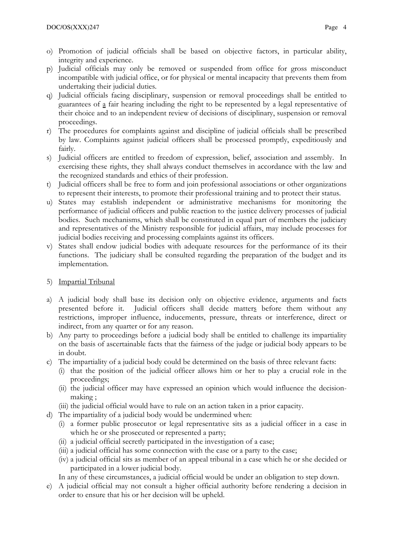- o) Promotion of judicial officials shall be based on objective factors, in particular ability, integrity and experience.
- p) Judicial officials may only be removed or suspended from office for gross misconduct incompatible with judicial office, or for physical or mental incapacity that prevents them from undertaking their judicial duties.
- q) Judicial officials facing disciplinary, suspension or removal proceedings shall be entitled to guarantees of a fair hearing including the right to be represented by a legal representative of their choice and to an independent review of decisions of disciplinary, suspension or removal proceedings.
- r) The procedures for complaints against and discipline of judicial officials shall be prescribed by law. Complaints against judicial officers shall be processed promptly, expeditiously and fairly.
- s) Judicial officers are entitled to freedom of expression, belief, association and assembly. In exercising these rights, they shall always conduct themselves in accordance with the law and the recognized standards and ethics of their profession.
- t) Judicial officers shall be free to form and join professional associations or other organizations to represent their interests, to promote their professional training and to protect their status.
- u) States may establish independent or administrative mechanisms for monitoring the performance of judicial officers and public reaction to the justice delivery processes of judicial bodies. Such mechanisms, which shall be constituted in equal part of members the judiciary and representatives of the Ministry responsible for judicial affairs, may include processes for judicial bodies receiving and processing complaints against its officers.
- v) States shall endow judicial bodies with adequate resources for the performance of its their functions. The judiciary shall be consulted regarding the preparation of the budget and its implementation.
- 5) Impartial Tribunal
- a) A judicial body shall base its decision only on objective evidence, arguments and facts presented before it. Judicial officers shall decide matters before them without any restrictions, improper influence, inducements, pressure, threats or interference, direct or indirect, from any quarter or for any reason.
- b) Any party to proceedings before a judicial body shall be entitled to challenge its impartiality on the basis of ascertainable facts that the fairness of the judge or judicial body appears to be in doubt.
- c) The impartiality of a judicial body could be determined on the basis of three relevant facts:
	- (i) that the position of the judicial officer allows him or her to play a crucial role in the proceedings;
	- (ii) the judicial officer may have expressed an opinion which would influence the decisionmaking ;
	- (iii) the judicial official would have to rule on an action taken in a prior capacity.
- d) The impartiality of a judicial body would be undermined when:
	- (i) a former public prosecutor or legal representative sits as a judicial officer in a case in which he or she prosecuted or represented a party;
	- (ii) a judicial official secretly participated in the investigation of a case;
	- (iii) a judicial official has some connection with the case or a party to the case;
	- (iv) a judicial official sits as member of an appeal tribunal in a case which he or she decided or participated in a lower judicial body.

In any of these circumstances, a judicial official would be under an obligation to step down.

e) A judicial official may not consult a higher official authority before rendering a decision in order to ensure that his or her decision will be upheld.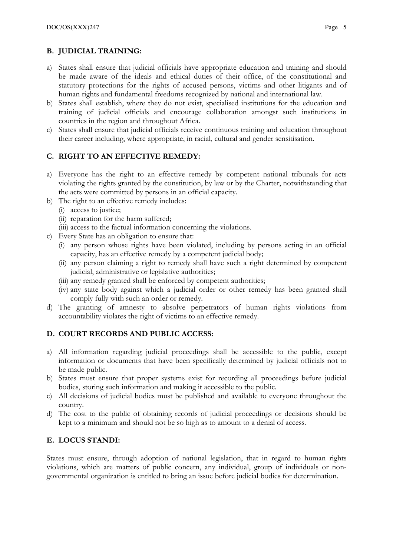# B. JUDICIAL TRAINING:

- a) States shall ensure that judicial officials have appropriate education and training and should be made aware of the ideals and ethical duties of their office, of the constitutional and statutory protections for the rights of accused persons, victims and other litigants and of human rights and fundamental freedoms recognized by national and international law.
- b) States shall establish, where they do not exist, specialised institutions for the education and training of judicial officials and encourage collaboration amongst such institutions in countries in the region and throughout Africa.
- c) States shall ensure that judicial officials receive continuous training and education throughout their career including, where appropriate, in racial, cultural and gender sensitisation.

## C. RIGHT TO AN EFFECTIVE REMEDY:

- a) Everyone has the right to an effective remedy by competent national tribunals for acts violating the rights granted by the constitution, by law or by the Charter, notwithstanding that the acts were committed by persons in an official capacity.
- b) The right to an effective remedy includes:
	- (i) access to justice;
	- (ii) reparation for the harm suffered;
	- (iii) access to the factual information concerning the violations.
- c) Every State has an obligation to ensure that:
	- (i) any person whose rights have been violated, including by persons acting in an official capacity, has an effective remedy by a competent judicial body;
	- (ii) any person claiming a right to remedy shall have such a right determined by competent judicial, administrative or legislative authorities;
	- (iii) any remedy granted shall be enforced by competent authorities;
	- (iv) any state body against which a judicial order or other remedy has been granted shall comply fully with such an order or remedy.
- d) The granting of amnesty to absolve perpetrators of human rights violations from accountability violates the right of victims to an effective remedy.

## D. COURT RECORDS AND PUBLIC ACCESS:

- a) All information regarding judicial proceedings shall be accessible to the public, except information or documents that have been specifically determined by judicial officials not to be made public.
- b) States must ensure that proper systems exist for recording all proceedings before judicial bodies, storing such information and making it accessible to the public.
- c) All decisions of judicial bodies must be published and available to everyone throughout the country.
- d) The cost to the public of obtaining records of judicial proceedings or decisions should be kept to a minimum and should not be so high as to amount to a denial of access.

## E. LOCUS STANDI:

States must ensure, through adoption of national legislation, that in regard to human rights violations, which are matters of public concern, any individual, group of individuals or nongovernmental organization is entitled to bring an issue before judicial bodies for determination.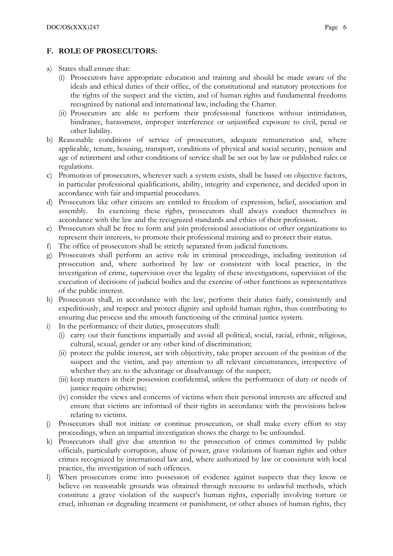## F. ROLE OF PROSECUTORS:

- a) States shall ensure that:
	- (i) Prosecutors have appropriate education and training and should be made aware of the ideals and ethical duties of their office, of the constitutional and statutory protections for the rights of the suspect and the victim, and of human rights and fundamental freedoms recognized by national and international law, including the Charter.
	- (ii) Prosecutors are able to perform their professional functions without intimidation, hindrance, harassment, improper interference or unjustified exposure to civil, penal or other liability.
- b) Reasonable conditions of service of prosecutors, adequate remuneration and, where applicable, tenure, housing, transport, conditions of physical and social security, pension and age of retirement and other conditions of service shall be set out by law or published rules or regulations.
- c) Promotion of prosecutors, wherever such a system exists, shall be based on objective factors, in particular professional qualifications, ability, integrity and experience, and decided upon in accordance with fair and impartial procedures.
- d) Prosecutors like other citizens are entitled to freedom of expression, belief, association and assembly. In exercising these rights, prosecutors shall always conduct themselves in accordance with the law and the recognized standards and ethics of their profession.
- e) Prosecutors shall be free to form and join professional associations or other organizations to represent their interests, to promote their professional training and to protect their status.
- f) The office of prosecutors shall be strictly separated from judicial functions.
- g) Prosecutors shall perform an active role in criminal proceedings, including institution of prosecution and, where authorized by law or consistent with local practice, in the investigation of crime, supervision over the legality of these investigations, supervision of the execution of decisions of judicial bodies and the exercise of other functions as representatives of the public interest.
- h) Prosecutors shall, in accordance with the law, perform their duties fairly, consistently and expeditiously, and respect and protect dignity and uphold human rights, thus contributing to ensuring due process and the smooth functioning of the criminal justice system.
- i) In the performance of their duties, prosecutors shall:
	- (i) carry out their functions impartially and avoid all political, social, racial, ethnic, religious, cultural, sexual, gender or any other kind of discrimination;
	- (ii) protect the public interest, act with objectivity, take proper account of the position of the suspect and the victim, and pay attention to all relevant circumstances, irrespective of whether they are to the advantage or disadvantage of the suspect;
	- (iii) keep matters in their possession confidential, unless the performance of duty or needs of justice require otherwise;
	- (iv) consider the views and concerns of victims when their personal interests are affected and ensure that victims are informed of their rights in accordance with the provisions below relating to victims.
- j) Prosecutors shall not initiate or continue prosecution, or shall make every effort to stay proceedings, when an impartial investigation shows the charge to be unfounded.
- k) Prosecutors shall give due attention to the prosecution of crimes committed by public officials, particularly corruption, abuse of power, grave violations of human rights and other crimes recognized by international law and, where authorized by law or consistent with local practice, the investigation of such offences.
- l) When prosecutors come into possession of evidence against suspects that they know or believe on reasonable grounds was obtained through recourse to unlawful methods, which constitute a grave violation of the suspect's human rights, especially involving torture or cruel, inhuman or degrading treatment or punishment, or other abuses of human rights, they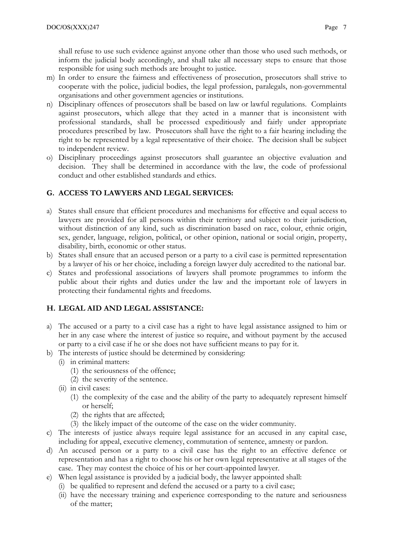shall refuse to use such evidence against anyone other than those who used such methods, or inform the judicial body accordingly, and shall take all necessary steps to ensure that those responsible for using such methods are brought to justice.

- m) In order to ensure the fairness and effectiveness of prosecution, prosecutors shall strive to cooperate with the police, judicial bodies, the legal profession, paralegals, non-governmental organisations and other government agencies or institutions.
- n) Disciplinary offences of prosecutors shall be based on law or lawful regulations. Complaints against prosecutors, which allege that they acted in a manner that is inconsistent with professional standards, shall be processed expeditiously and fairly under appropriate procedures prescribed by law. Prosecutors shall have the right to a fair hearing including the right to be represented by a legal representative of their choice. The decision shall be subject to independent review.
- o) Disciplinary proceedings against prosecutors shall guarantee an objective evaluation and decision. They shall be determined in accordance with the law, the code of professional conduct and other established standards and ethics.

## G. ACCESS TO LAWYERS AND LEGAL SERVICES:

- a) States shall ensure that efficient procedures and mechanisms for effective and equal access to lawyers are provided for all persons within their territory and subject to their jurisdiction, without distinction of any kind, such as discrimination based on race, colour, ethnic origin, sex, gender, language, religion, political, or other opinion, national or social origin, property, disability, birth, economic or other status.
- b) States shall ensure that an accused person or a party to a civil case is permitted representation by a lawyer of his or her choice, including a foreign lawyer duly accredited to the national bar.
- c) States and professional associations of lawyers shall promote programmes to inform the public about their rights and duties under the law and the important role of lawyers in protecting their fundamental rights and freedoms.

#### H. LEGAL AID AND LEGAL ASSISTANCE:

- a) The accused or a party to a civil case has a right to have legal assistance assigned to him or her in any case where the interest of justice so require, and without payment by the accused or party to a civil case if he or she does not have sufficient means to pay for it.
- b) The interests of justice should be determined by considering:
	- (i) in criminal matters:
		- (1) the seriousness of the offence;
		- (2) the severity of the sentence.
	- (ii) in civil cases:
		- (1) the complexity of the case and the ability of the party to adequately represent himself or herself;
		- (2) the rights that are affected;
		- (3) the likely impact of the outcome of the case on the wider community.
- c) The interests of justice always require legal assistance for an accused in any capital case, including for appeal, executive clemency, commutation of sentence, amnesty or pardon.
- d) An accused person or a party to a civil case has the right to an effective defence or representation and has a right to choose his or her own legal representative at all stages of the case. They may contest the choice of his or her court-appointed lawyer.
- e) When legal assistance is provided by a judicial body, the lawyer appointed shall:
	- (i) be qualified to represent and defend the accused or a party to a civil case;
	- (ii) have the necessary training and experience corresponding to the nature and seriousness of the matter;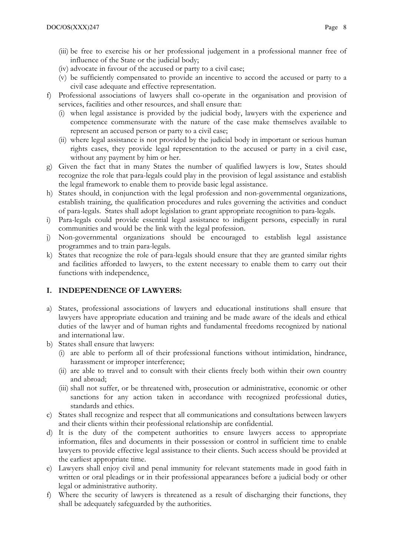- (iii) be free to exercise his or her professional judgement in a professional manner free of influence of the State or the judicial body;
- (iv) advocate in favour of the accused or party to a civil case;
- (v) be sufficiently compensated to provide an incentive to accord the accused or party to a civil case adequate and effective representation.
- f) Professional associations of lawyers shall co-operate in the organisation and provision of services, facilities and other resources, and shall ensure that:
	- (i) when legal assistance is provided by the judicial body, lawyers with the experience and competence commensurate with the nature of the case make themselves available to represent an accused person or party to a civil case;
	- (ii) where legal assistance is not provided by the judicial body in important or serious human rights cases, they provide legal representation to the accused or party in a civil case, without any payment by him or her.
- g) Given the fact that in many States the number of qualified lawyers is low, States should recognize the role that para-legals could play in the provision of legal assistance and establish the legal framework to enable them to provide basic legal assistance.
- h) States should, in conjunction with the legal profession and non-governmental organizations, establish training, the qualification procedures and rules governing the activities and conduct of para-legals. States shall adopt legislation to grant appropriate recognition to para-legals.
- i) Para-legals could provide essential legal assistance to indigent persons, especially in rural communities and would be the link with the legal profession.
- j) Non-governmental organizations should be encouraged to establish legal assistance programmes and to train para-legals.
- k) States that recognize the role of para-legals should ensure that they are granted similar rights and facilities afforded to lawyers, to the extent necessary to enable them to carry out their functions with independence.

#### I. INDEPENDENCE OF LAWYERS:

- a) States, professional associations of lawyers and educational institutions shall ensure that lawyers have appropriate education and training and be made aware of the ideals and ethical duties of the lawyer and of human rights and fundamental freedoms recognized by national and international law.
- b) States shall ensure that lawyers:
	- (i) are able to perform all of their professional functions without intimidation, hindrance, harassment or improper interference;
	- (ii) are able to travel and to consult with their clients freely both within their own country and abroad;
	- (iii) shall not suffer, or be threatened with, prosecution or administrative, economic or other sanctions for any action taken in accordance with recognized professional duties, standards and ethics.
- c) States shall recognize and respect that all communications and consultations between lawyers and their clients within their professional relationship are confidential.
- d) It is the duty of the competent authorities to ensure lawyers access to appropriate information, files and documents in their possession or control in sufficient time to enable lawyers to provide effective legal assistance to their clients. Such access should be provided at the earliest appropriate time.
- e) Lawyers shall enjoy civil and penal immunity for relevant statements made in good faith in written or oral pleadings or in their professional appearances before a judicial body or other legal or administrative authority.
- f) Where the security of lawyers is threatened as a result of discharging their functions, they shall be adequately safeguarded by the authorities.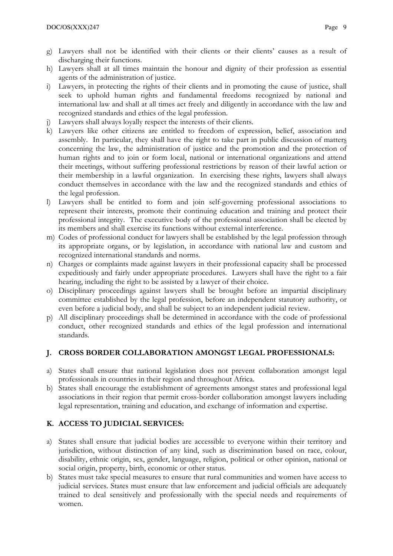- g) Lawyers shall not be identified with their clients or their clients' causes as a result of discharging their functions.
- h) Lawyers shall at all times maintain the honour and dignity of their profession as essential agents of the administration of justice.
- i) Lawyers, in protecting the rights of their clients and in promoting the cause of justice, shall seek to uphold human rights and fundamental freedoms recognized by national and international law and shall at all times act freely and diligently in accordance with the law and recognized standards and ethics of the legal profession.
- j) Lawyers shall always loyally respect the interests of their clients.
- k) Lawyers like other citizens are entitled to freedom of expression, belief, association and assembly. In particular, they shall have the right to take part in public discussion of matters concerning the law, the administration of justice and the promotion and the protection of human rights and to join or form local, national or international organizations and attend their meetings, without suffering professional restrictions by reason of their lawful action or their membership in a lawful organization. In exercising these rights, lawyers shall always conduct themselves in accordance with the law and the recognized standards and ethics of the legal profession.
- l) Lawyers shall be entitled to form and join self-governing professional associations to represent their interests, promote their continuing education and training and protect their professional integrity. The executive body of the professional association shall be elected by its members and shall exercise its functions without external interference.
- m) Codes of professional conduct for lawyers shall be established by the legal profession through its appropriate organs, or by legislation, in accordance with national law and custom and recognized international standards and norms.
- n) Charges or complaints made against lawyers in their professional capacity shall be processed expeditiously and fairly under appropriate procedures. Lawyers shall have the right to a fair hearing, including the right to be assisted by a lawyer of their choice.
- o) Disciplinary proceedings against lawyers shall be brought before an impartial disciplinary committee established by the legal profession, before an independent statutory authority, or even before a judicial body, and shall be subject to an independent judicial review.
- p) All disciplinary proceedings shall be determined in accordance with the code of professional conduct, other recognized standards and ethics of the legal profession and international standards.

# J. CROSS BORDER COLLABORATION AMONGST LEGAL PROFESSIONALS:

- a) States shall ensure that national legislation does not prevent collaboration amongst legal professionals in countries in their region and throughout Africa.
- b) States shall encourage the establishment of agreements amongst states and professional legal associations in their region that permit cross-border collaboration amongst lawyers including legal representation, training and education, and exchange of information and expertise.

# K. ACCESS TO JUDICIAL SERVICES:

- a) States shall ensure that judicial bodies are accessible to everyone within their territory and jurisdiction, without distinction of any kind, such as discrimination based on race, colour, disability, ethnic origin, sex, gender, language, religion, political or other opinion, national or social origin, property, birth, economic or other status.
- b) States must take special measures to ensure that rural communities and women have access to judicial services. States must ensure that law enforcement and judicial officials are adequately trained to deal sensitively and professionally with the special needs and requirements of women.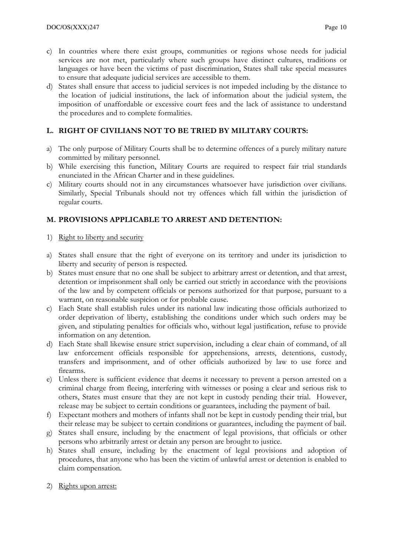- c) In countries where there exist groups, communities or regions whose needs for judicial services are not met, particularly where such groups have distinct cultures, traditions or languages or have been the victims of past discrimination, States shall take special measures to ensure that adequate judicial services are accessible to them.
- d) States shall ensure that access to judicial services is not impeded including by the distance to the location of judicial institutions, the lack of information about the judicial system, the imposition of unaffordable or excessive court fees and the lack of assistance to understand the procedures and to complete formalities.

## L. RIGHT OF CIVILIANS NOT TO BE TRIED BY MILITARY COURTS:

- a) The only purpose of Military Courts shall be to determine offences of a purely military nature committed by military personnel.
- b) While exercising this function, Military Courts are required to respect fair trial standards enunciated in the African Charter and in these guidelines.
- c) Military courts should not in any circumstances whatsoever have jurisdiction over civilians. Similarly, Special Tribunals should not try offences which fall within the jurisdiction of regular courts.

## M. PROVISIONS APPLICABLE TO ARREST AND DETENTION:

- 1) Right to liberty and security
- a) States shall ensure that the right of everyone on its territory and under its jurisdiction to liberty and security of person is respected.
- b) States must ensure that no one shall be subject to arbitrary arrest or detention, and that arrest, detention or imprisonment shall only be carried out strictly in accordance with the provisions of the law and by competent officials or persons authorized for that purpose, pursuant to a warrant, on reasonable suspicion or for probable cause.
- c) Each State shall establish rules under its national law indicating those officials authorized to order deprivation of liberty, establishing the conditions under which such orders may be given, and stipulating penalties for officials who, without legal justification, refuse to provide information on any detention.
- d) Each State shall likewise ensure strict supervision, including a clear chain of command, of all law enforcement officials responsible for apprehensions, arrests, detentions, custody, transfers and imprisonment, and of other officials authorized by law to use force and firearms.
- e) Unless there is sufficient evidence that deems it necessary to prevent a person arrested on a criminal charge from fleeing, interfering with witnesses or posing a clear and serious risk to others, States must ensure that they are not kept in custody pending their trial. However, release may be subject to certain conditions or guarantees, including the payment of bail.
- f) Expectant mothers and mothers of infants shall not be kept in custody pending their trial, but their release may be subject to certain conditions or guarantees, including the payment of bail.
- g) States shall ensure, including by the enactment of legal provisions, that officials or other persons who arbitrarily arrest or detain any person are brought to justice.
- h) States shall ensure, including by the enactment of legal provisions and adoption of procedures, that anyone who has been the victim of unlawful arrest or detention is enabled to claim compensation.
- 2) Rights upon arrest: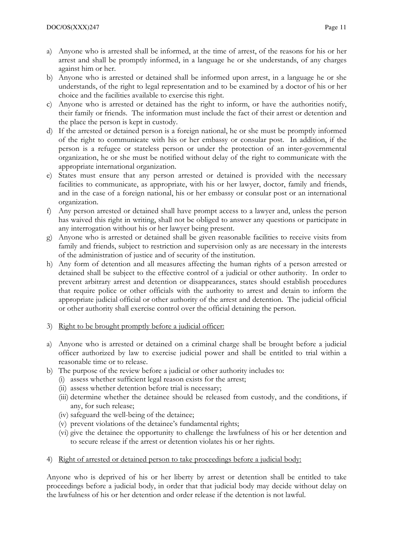- a) Anyone who is arrested shall be informed, at the time of arrest, of the reasons for his or her arrest and shall be promptly informed, in a language he or she understands, of any charges against him or her.
- b) Anyone who is arrested or detained shall be informed upon arrest, in a language he or she understands, of the right to legal representation and to be examined by a doctor of his or her choice and the facilities available to exercise this right.
- c) Anyone who is arrested or detained has the right to inform, or have the authorities notify, their family or friends. The information must include the fact of their arrest or detention and the place the person is kept in custody.
- d) If the arrested or detained person is a foreign national, he or she must be promptly informed of the right to communicate with his or her embassy or consular post. In addition, if the person is a refugee or stateless person or under the protection of an inter-governmental organization, he or she must be notified without delay of the right to communicate with the appropriate international organization.
- e) States must ensure that any person arrested or detained is provided with the necessary facilities to communicate, as appropriate, with his or her lawyer, doctor, family and friends, and in the case of a foreign national, his or her embassy or consular post or an international organization.
- f) Any person arrested or detained shall have prompt access to a lawyer and, unless the person has waived this right in writing, shall not be obliged to answer any questions or participate in any interrogation without his or her lawyer being present.
- g) Anyone who is arrested or detained shall be given reasonable facilities to receive visits from family and friends, subject to restriction and supervision only as are necessary in the interests of the administration of justice and of security of the institution.
- h) Any form of detention and all measures affecting the human rights of a person arrested or detained shall be subject to the effective control of a judicial or other authority. In order to prevent arbitrary arrest and detention or disappearances, states should establish procedures that require police or other officials with the authority to arrest and detain to inform the appropriate judicial official or other authority of the arrest and detention. The judicial official or other authority shall exercise control over the official detaining the person.
- 3) Right to be brought promptly before a judicial officer:
- a) Anyone who is arrested or detained on a criminal charge shall be brought before a judicial officer authorized by law to exercise judicial power and shall be entitled to trial within a reasonable time or to release.
- b) The purpose of the review before a judicial or other authority includes to:
	- (i) assess whether sufficient legal reason exists for the arrest;
	- (ii) assess whether detention before trial is necessary;
	- (iii) determine whether the detainee should be released from custody, and the conditions, if any, for such release;
	- (iv) safeguard the well-being of the detainee;
	- (v) prevent violations of the detainee's fundamental rights;
	- (vi) give the detainee the opportunity to challenge the lawfulness of his or her detention and to secure release if the arrest or detention violates his or her rights.
- 4) Right of arrested or detained person to take proceedings before a judicial body:

Anyone who is deprived of his or her liberty by arrest or detention shall be entitled to take proceedings before a judicial body, in order that that judicial body may decide without delay on the lawfulness of his or her detention and order release if the detention is not lawful.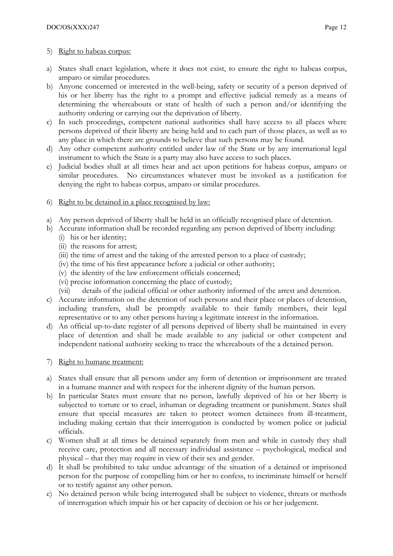## 5) Right to habeas corpus:

- a) States shall enact legislation, where it does not exist, to ensure the right to habeas corpus, amparo or similar procedures.
- b) Anyone concerned or interested in the well-being, safety or security of a person deprived of his or her liberty has the right to a prompt and effective judicial remedy as a means of determining the whereabouts or state of health of such a person and/or identifying the authority ordering or carrying out the deprivation of liberty.
- c) In such proceedings, competent national authorities shall have access to all places where persons deprived of their liberty are being held and to each part of those places, as well as to any place in which there are grounds to believe that such persons may be found.
- d) Any other competent authority entitled under law of the State or by any international legal instrument to which the State is a party may also have access to such places.
- e) Judicial bodies shall at all times hear and act upon petitions for habeas corpus, amparo or similar procedures. No circumstances whatever must be invoked as a justification for denying the right to habeas corpus, amparo or similar procedures.
- 6) Right to be detained in a place recognised by law:
- a) Any person deprived of liberty shall be held in an officially recognised place of detention.
- b) Accurate information shall be recorded regarding any person deprived of liberty including:
	- (i) his or her identity;
	- (ii) the reasons for arrest;
	- (iii) the time of arrest and the taking of the arrested person to a place of custody;
	- (iv) the time of his first appearance before a judicial or other authority;
	- (v) the identity of the law enforcement officials concerned;
	- (vi) precise information concerning the place of custody;
	- (vii) details of the judicial official or other authority informed of the arrest and detention.
- c) Accurate information on the detention of such persons and their place or places of detention, including transfers, shall be promptly available to their family members, their legal representative or to any other persons having a legitimate interest in the information.
- d) An official up-to-date register of all persons deprived of liberty shall be maintained in every place of detention and shall be made available to any judicial or other competent and independent national authority seeking to trace the whereabouts of the a detained person.
- 7) Right to humane treatment:
- a) States shall ensure that all persons under any form of detention or imprisonment are treated in a humane manner and with respect for the inherent dignity of the human person.
- b) In particular States must ensure that no person, lawfully deprived of his or her liberty is subjected to torture or to cruel, inhuman or degrading treatment or punishment. States shall ensure that special measures are taken to protect women detainees from ill-treatment, including making certain that their interrogation is conducted by women police or judicial officials.
- c) Women shall at all times be detained separately from men and while in custody they shall receive care, protection and all necessary individual assistance – psychological, medical and physical – that they may require in view of their sex and gender.
- d) It shall be prohibited to take undue advantage of the situation of a detained or imprisoned person for the purpose of compelling him or her to confess, to incriminate himself or herself or to testify against any other person.
- e) No detained person while being interrogated shall be subject to violence, threats or methods of interrogation which impair his or her capacity of decision or his or her judgement.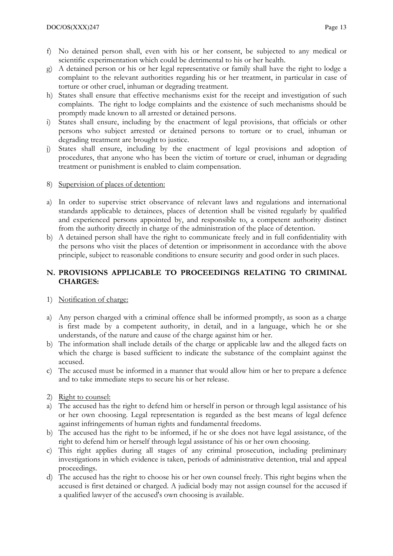- f) No detained person shall, even with his or her consent, be subjected to any medical or scientific experimentation which could be detrimental to his or her health.
- g) A detained person or his or her legal representative or family shall have the right to lodge a complaint to the relevant authorities regarding his or her treatment, in particular in case of torture or other cruel, inhuman or degrading treatment.
- h) States shall ensure that effective mechanisms exist for the receipt and investigation of such complaints. The right to lodge complaints and the existence of such mechanisms should be promptly made known to all arrested or detained persons.
- States shall ensure, including by the enactment of legal provisions, that officials or other persons who subject arrested or detained persons to torture or to cruel, inhuman or degrading treatment are brought to justice.
- j) States shall ensure, including by the enactment of legal provisions and adoption of procedures, that anyone who has been the victim of torture or cruel, inhuman or degrading treatment or punishment is enabled to claim compensation.
- 8) Supervision of places of detention:
- a) In order to supervise strict observance of relevant laws and regulations and international standards applicable to detainees, places of detention shall be visited regularly by qualified and experienced persons appointed by, and responsible to, a competent authority distinct from the authority directly in charge of the administration of the place of detention.
- b) A detained person shall have the right to communicate freely and in full confidentiality with the persons who visit the places of detention or imprisonment in accordance with the above principle, subject to reasonable conditions to ensure security and good order in such places.

# N. PROVISIONS APPLICABLE TO PROCEEDINGS RELATING TO CRIMINAL CHARGES:

- 1) Notification of charge:
- a) Any person charged with a criminal offence shall be informed promptly, as soon as a charge is first made by a competent authority, in detail, and in a language, which he or she understands, of the nature and cause of the charge against him or her.
- b) The information shall include details of the charge or applicable law and the alleged facts on which the charge is based sufficient to indicate the substance of the complaint against the accused.
- c) The accused must be informed in a manner that would allow him or her to prepare a defence and to take immediate steps to secure his or her release.
- 2) Right to counsel:
- a) The accused has the right to defend him or herself in person or through legal assistance of his or her own choosing. Legal representation is regarded as the best means of legal defence against infringements of human rights and fundamental freedoms.
- b) The accused has the right to be informed, if he or she does not have legal assistance, of the right to defend him or herself through legal assistance of his or her own choosing.
- c) This right applies during all stages of any criminal prosecution, including preliminary investigations in which evidence is taken, periods of administrative detention, trial and appeal proceedings.
- d) The accused has the right to choose his or her own counsel freely. This right begins when the accused is first detained or charged. A judicial body may not assign counsel for the accused if a qualified lawyer of the accused's own choosing is available.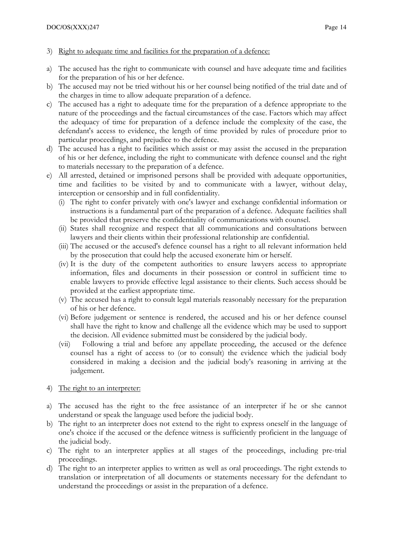- 3) Right to adequate time and facilities for the preparation of a defence:
- a) The accused has the right to communicate with counsel and have adequate time and facilities for the preparation of his or her defence.
- b) The accused may not be tried without his or her counsel being notified of the trial date and of the charges in time to allow adequate preparation of a defence.
- c) The accused has a right to adequate time for the preparation of a defence appropriate to the nature of the proceedings and the factual circumstances of the case. Factors which may affect the adequacy of time for preparation of a defence include the complexity of the case, the defendant's access to evidence, the length of time provided by rules of procedure prior to particular proceedings, and prejudice to the defence.
- d) The accused has a right to facilities which assist or may assist the accused in the preparation of his or her defence, including the right to communicate with defence counsel and the right to materials necessary to the preparation of a defence.
- e) All arrested, detained or imprisoned persons shall be provided with adequate opportunities, time and facilities to be visited by and to communicate with a lawyer, without delay, interception or censorship and in full confidentiality.
	- (i) The right to confer privately with one's lawyer and exchange confidential information or instructions is a fundamental part of the preparation of a defence. Adequate facilities shall be provided that preserve the confidentiality of communications with counsel.
	- (ii) States shall recognize and respect that all communications and consultations between lawyers and their clients within their professional relationship are confidential.
	- (iii) The accused or the accused's defence counsel has a right to all relevant information held by the prosecution that could help the accused exonerate him or herself.
	- (iv) It is the duty of the competent authorities to ensure lawyers access to appropriate information, files and documents in their possession or control in sufficient time to enable lawyers to provide effective legal assistance to their clients. Such access should be provided at the earliest appropriate time.
	- (v) The accused has a right to consult legal materials reasonably necessary for the preparation of his or her defence.
	- (vi) Before judgement or sentence is rendered, the accused and his or her defence counsel shall have the right to know and challenge all the evidence which may be used to support the decision. All evidence submitted must be considered by the judicial body.
	- (vii) Following a trial and before any appellate proceeding, the accused or the defence counsel has a right of access to (or to consult) the evidence which the judicial body considered in making a decision and the judicial body's reasoning in arriving at the judgement.
- 4) The right to an interpreter:
- a) The accused has the right to the free assistance of an interpreter if he or she cannot understand or speak the language used before the judicial body.
- b) The right to an interpreter does not extend to the right to express oneself in the language of one's choice if the accused or the defence witness is sufficiently proficient in the language of the judicial body.
- c) The right to an interpreter applies at all stages of the proceedings, including pre-trial proceedings.
- d) The right to an interpreter applies to written as well as oral proceedings. The right extends to translation or interpretation of all documents or statements necessary for the defendant to understand the proceedings or assist in the preparation of a defence.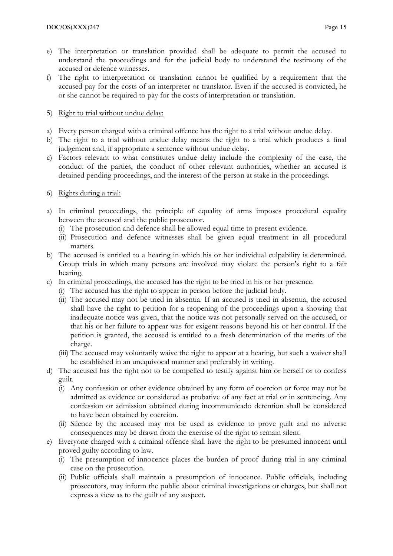- e) The interpretation or translation provided shall be adequate to permit the accused to understand the proceedings and for the judicial body to understand the testimony of the accused or defence witnesses.
- f) The right to interpretation or translation cannot be qualified by a requirement that the accused pay for the costs of an interpreter or translator. Even if the accused is convicted, he or she cannot be required to pay for the costs of interpretation or translation.

## 5) Right to trial without undue delay:

- a) Every person charged with a criminal offence has the right to a trial without undue delay.
- b) The right to a trial without undue delay means the right to a trial which produces a final judgement and, if appropriate a sentence without undue delay.
- c) Factors relevant to what constitutes undue delay include the complexity of the case, the conduct of the parties, the conduct of other relevant authorities, whether an accused is detained pending proceedings, and the interest of the person at stake in the proceedings.

## 6) Rights during a trial:

- a) In criminal proceedings, the principle of equality of arms imposes procedural equality between the accused and the public prosecutor.
	- (i) The prosecution and defence shall be allowed equal time to present evidence.
	- (ii) Prosecution and defence witnesses shall be given equal treatment in all procedural matters.
- b) The accused is entitled to a hearing in which his or her individual culpability is determined. Group trials in which many persons are involved may violate the person's right to a fair hearing.
- c) In criminal proceedings, the accused has the right to be tried in his or her presence.
	- (i) The accused has the right to appear in person before the judicial body.
	- (ii) The accused may not be tried in absentia. If an accused is tried in absentia, the accused shall have the right to petition for a reopening of the proceedings upon a showing that inadequate notice was given, that the notice was not personally served on the accused, or that his or her failure to appear was for exigent reasons beyond his or her control. If the petition is granted, the accused is entitled to a fresh determination of the merits of the charge.
	- (iii) The accused may voluntarily waive the right to appear at a hearing, but such a waiver shall be established in an unequivocal manner and preferably in writing.
- d) The accused has the right not to be compelled to testify against him or herself or to confess guilt.
	- (i) Any confession or other evidence obtained by any form of coercion or force may not be admitted as evidence or considered as probative of any fact at trial or in sentencing. Any confession or admission obtained during incommunicado detention shall be considered to have been obtained by coercion.
	- (ii) Silence by the accused may not be used as evidence to prove guilt and no adverse consequences may be drawn from the exercise of the right to remain silent.
- e) Everyone charged with a criminal offence shall have the right to be presumed innocent until proved guilty according to law.
	- (i) The presumption of innocence places the burden of proof during trial in any criminal case on the prosecution.
	- (ii) Public officials shall maintain a presumption of innocence. Public officials, including prosecutors, may inform the public about criminal investigations or charges, but shall not express a view as to the guilt of any suspect.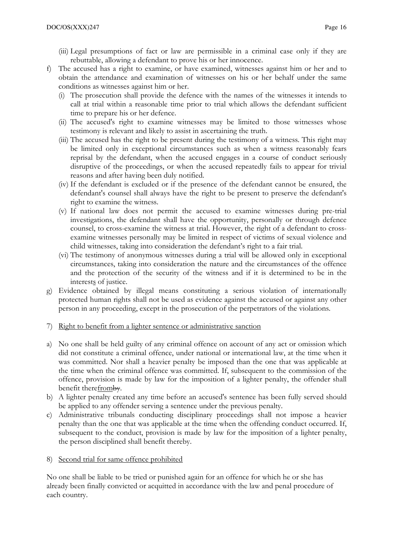- (iii) Legal presumptions of fact or law are permissible in a criminal case only if they are rebuttable, allowing a defendant to prove his or her innocence.
- f) The accused has a right to examine, or have examined, witnesses against him or her and to obtain the attendance and examination of witnesses on his or her behalf under the same conditions as witnesses against him or her.
	- (i) The prosecution shall provide the defence with the names of the witnesses it intends to call at trial within a reasonable time prior to trial which allows the defendant sufficient time to prepare his or her defence.
	- (ii) The accused's right to examine witnesses may be limited to those witnesses whose testimony is relevant and likely to assist in ascertaining the truth.
	- (iii) The accused has the right to be present during the testimony of a witness. This right may be limited only in exceptional circumstances such as when a witness reasonably fears reprisal by the defendant, when the accused engages in a course of conduct seriously disruptive of the proceedings, or when the accused repeatedly fails to appear for trivial reasons and after having been duly notified.
	- (iv) If the defendant is excluded or if the presence of the defendant cannot be ensured, the defendant's counsel shall always have the right to be present to preserve the defendant's right to examine the witness.
	- (v) If national law does not permit the accused to examine witnesses during pre-trial investigations, the defendant shall have the opportunity, personally or through defence counsel, to cross-examine the witness at trial. However, the right of a defendant to crossexamine witnesses personally may be limited in respect of victims of sexual violence and child witnesses, taking into consideration the defendant's right to a fair trial.
	- (vi) The testimony of anonymous witnesses during a trial will be allowed only in exceptional circumstances, taking into consideration the nature and the circumstances of the offence and the protection of the security of the witness and if it is determined to be in the interests of justice.
- g) Evidence obtained by illegal means constituting a serious violation of internationally protected human rights shall not be used as evidence against the accused or against any other person in any proceeding, except in the prosecution of the perpetrators of the violations.
- 7) Right to benefit from a lighter sentence or administrative sanction
- a) No one shall be held guilty of any criminal offence on account of any act or omission which did not constitute a criminal offence, under national or international law, at the time when it was committed. Nor shall a heavier penalty be imposed than the one that was applicable at the time when the criminal offence was committed. If, subsequent to the commission of the offence, provision is made by law for the imposition of a lighter penalty, the offender shall benefit therefromby.
- b) A lighter penalty created any time before an accused's sentence has been fully served should be applied to any offender serving a sentence under the previous penalty.
- c) Administrative tribunals conducting disciplinary proceedings shall not impose a heavier penalty than the one that was applicable at the time when the offending conduct occurred. If, subsequent to the conduct, provision is made by law for the imposition of a lighter penalty, the person disciplined shall benefit thereby.
- Second trial for same offence prohibited

No one shall be liable to be tried or punished again for an offence for which he or she has already been finally convicted or acquitted in accordance with the law and penal procedure of each country.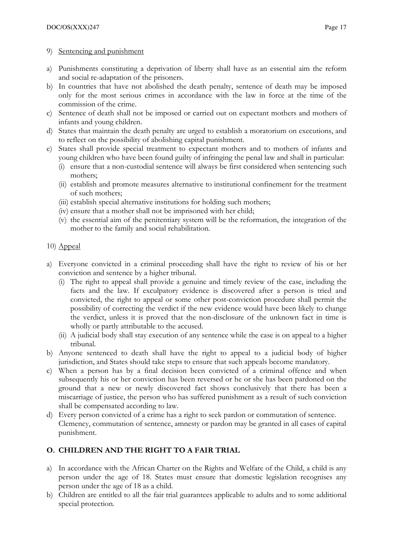### 9) Sentencing and punishment

- a) Punishments constituting a deprivation of liberty shall have as an essential aim the reform and social re-adaptation of the prisoners.
- b) In countries that have not abolished the death penalty, sentence of death may be imposed only for the most serious crimes in accordance with the law in force at the time of the commission of the crime.
- c) Sentence of death shall not be imposed or carried out on expectant mothers and mothers of infants and young children.
- d) States that maintain the death penalty are urged to establish a moratorium on executions, and to reflect on the possibility of abolishing capital punishment.
- e) States shall provide special treatment to expectant mothers and to mothers of infants and young children who have been found guilty of infringing the penal law and shall in particular:
	- (i) ensure that a non-custodial sentence will always be first considered when sentencing such mothers;
	- (ii) establish and promote measures alternative to institutional confinement for the treatment of such mothers;
	- (iii) establish special alternative institutions for holding such mothers;
	- (iv) ensure that a mother shall not be imprisoned with her child;
	- (v) the essential aim of the penitentiary system will be the reformation, the integration of the mother to the family and social rehabilitation.

## 10)  $Appeal$ </u>

- a) Everyone convicted in a criminal proceeding shall have the right to review of his or her conviction and sentence by a higher tribunal.
	- (i) The right to appeal shall provide a genuine and timely review of the case, including the facts and the law. If exculpatory evidence is discovered after a person is tried and convicted, the right to appeal or some other post-conviction procedure shall permit the possibility of correcting the verdict if the new evidence would have been likely to change the verdict, unless it is proved that the non-disclosure of the unknown fact in time is wholly or partly attributable to the accused.
	- (ii) A judicial body shall stay execution of any sentence while the case is on appeal to a higher tribunal.
- b) Anyone sentenced to death shall have the right to appeal to a judicial body of higher jurisdiction, and States should take steps to ensure that such appeals become mandatory.
- c) When a person has by a final decision been convicted of a criminal offence and when subsequently his or her conviction has been reversed or he or she has been pardoned on the ground that a new or newly discovered fact shows conclusively that there has been a miscarriage of justice, the person who has suffered punishment as a result of such conviction shall be compensated according to law.
- d) Every person convicted of a crime has a right to seek pardon or commutation of sentence. Clemency, commutation of sentence, amnesty or pardon may be granted in all cases of capital punishment.

# O. CHILDREN AND THE RIGHT TO A FAIR TRIAL

- a) In accordance with the African Charter on the Rights and Welfare of the Child, a child is any person under the age of 18. States must ensure that domestic legislation recognises any person under the age of 18 as a child.
- b) Children are entitled to all the fair trial guarantees applicable to adults and to some additional special protection.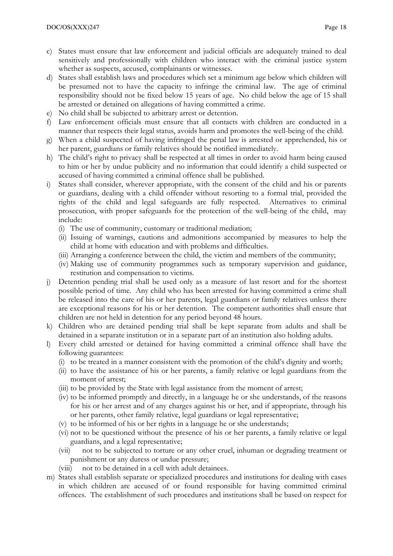- c) States must ensure that law enforcement and judicial officials are adequately trained to deal sensitively and professionally with children who interact with the criminal justice system whether as suspects, accused, complainants or witnesses.
- d) States shall establish laws and procedures which set a minimum age below which children will be presumed not to have the capacity to infringe the criminal law. The age of criminal responsibility should not be fixed below 15 years of age. No child below the age of 15 shall be arrested or detained on allegations of having committed a crime.
- e) No child shall be subjected to arbitrary arrest or detention.
- f) Law enforcement officials must ensure that all contacts with children are conducted in a manner that respects their legal status, avoids harm and promotes the well-being of the child.
- g) When a child suspected of having infringed the penal law is arrested or apprehended, his or her parent, guardians or family relatives should be notified immediately.
- h) The child's right to privacy shall be respected at all times in order to avoid harm being caused to him or her by undue publicity and no information that could identify a child suspected or accused of having committed a criminal offence shall be published.
- i) States shall consider, wherever appropriate, with the consent of the child and his or parents or guardians, dealing with a child offender without resorting to a formal trial, provided the rights of the child and legal safeguards are fully respected. Alternatives to criminal prosecution, with proper safeguards for the protection of the well-being of the child, may include:
	- (i) The use of community, customary or traditional mediation;
	- (ii) Issuing of warnings, cautions and admonitions accompanied by measures to help the child at home with education and with problems and difficulties.
	- (iii) Arranging a conference between the child, the victim and members of the community;
	- (iv) Making use of community programmes such as temporary supervision and guidance, restitution and compensation to victims.
- j) Detention pending trial shall be used only as a measure of last resort and for the shortest possible period of time. Any child who has been arrested for having committed a crime shall be released into the care of his or her parents, legal guardians or family relatives unless there are exceptional reasons for his or her detention. The competent authorities shall ensure that children are not held in detention for any period beyond 48 hours.
- k) Children who are detained pending trial shall be kept separate from adults and shall be detained in a separate institution or in a separate part of an institution also holding adults.
- l) Every child arrested or detained for having committed a criminal offence shall have the following guarantees:
	- (i) to be treated in a manner consistent with the promotion of the child's dignity and worth;
	- (ii) to have the assistance of his or her parents, a family relative or legal guardians from the moment of arrest;
	- (iii) to be provided by the State with legal assistance from the moment of arrest;
	- (iv) to be informed promptly and directly, in a language he or she understands, of the reasons for his or her arrest and of any charges against his or her, and if appropriate, through his or her parents, other family relative, legal guardians or legal representative;
	- (v) to be informed of his or her rights in a language he or she understands;
	- (vi) not to be questioned without the presence of his or her parents, a family relative or legal guardians, and a legal representative;
	- (vii) not to be subjected to torture or any other cruel, inhuman or degrading treatment or punishment or any duress or undue pressure;
	- (viii) not to be detained in a cell with adult detainees.
- m) States shall establish separate or specialized procedures and institutions for dealing with cases in which children are accused of or found responsible for having committed criminal offences. The establishment of such procedures and institutions shall be based on respect for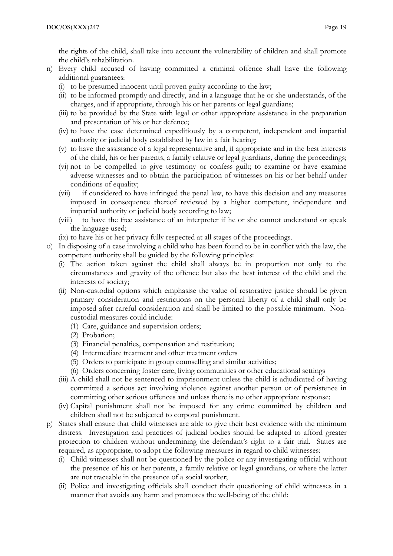the rights of the child, shall take into account the vulnerability of children and shall promote the child's rehabilitation.

- n) Every child accused of having committed a criminal offence shall have the following additional guarantees:
	- (i) to be presumed innocent until proven guilty according to the law;
	- (ii) to be informed promptly and directly, and in a language that he or she understands, of the charges, and if appropriate, through his or her parents or legal guardians;
	- (iii) to be provided by the State with legal or other appropriate assistance in the preparation and presentation of his or her defence;
	- (iv) to have the case determined expeditiously by a competent, independent and impartial authority or judicial body established by law in a fair hearing;
	- (v) to have the assistance of a legal representative and, if appropriate and in the best interests of the child, his or her parents, a family relative or legal guardians, during the proceedings;
	- (vi) not to be compelled to give testimony or confess guilt; to examine or have examine adverse witnesses and to obtain the participation of witnesses on his or her behalf under conditions of equality;
	- (vii) if considered to have infringed the penal law, to have this decision and any measures imposed in consequence thereof reviewed by a higher competent, independent and impartial authority or judicial body according to law;
	- (viii) to have the free assistance of an interpreter if he or she cannot understand or speak the language used;
	- (ix) to have his or her privacy fully respected at all stages of the proceedings.
- o) In disposing of a case involving a child who has been found to be in conflict with the law, the competent authority shall be guided by the following principles:
	- (i) The action taken against the child shall always be in proportion not only to the circumstances and gravity of the offence but also the best interest of the child and the interests of society;
	- (ii) Non-custodial options which emphasise the value of restorative justice should be given primary consideration and restrictions on the personal liberty of a child shall only be imposed after careful consideration and shall be limited to the possible minimum. Noncustodial measures could include:
		- (1) Care, guidance and supervision orders;
		- (2) Probation;
		- (3) Financial penalties, compensation and restitution;
		- (4) Intermediate treatment and other treatment orders
		- (5) Orders to participate in group counselling and similar activities;
		- (6) Orders concerning foster care, living communities or other educational settings
	- (iii) A child shall not be sentenced to imprisonment unless the child is adjudicated of having committed a serious act involving violence against another person or of persistence in committing other serious offences and unless there is no other appropriate response;
	- (iv) Capital punishment shall not be imposed for any crime committed by children and children shall not be subjected to corporal punishment.
- p) States shall ensure that child witnesses are able to give their best evidence with the minimum distress. Investigation and practices of judicial bodies should be adapted to afford greater protection to children without undermining the defendant's right to a fair trial. States are required, as appropriate, to adopt the following measures in regard to child witnesses:
	- (i) Child witnesses shall not be questioned by the police or any investigating official without the presence of his or her parents, a family relative or legal guardians, or where the latter are not traceable in the presence of a social worker;
	- (ii) Police and investigating officials shall conduct their questioning of child witnesses in a manner that avoids any harm and promotes the well-being of the child;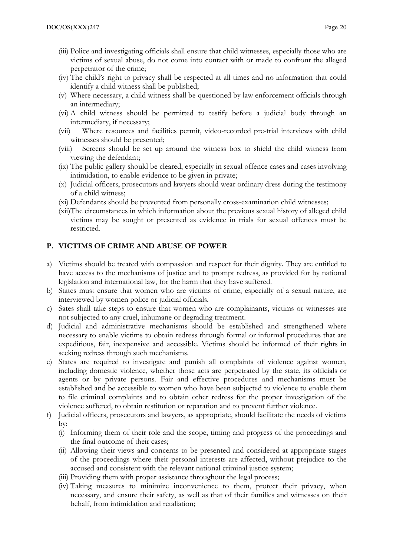- (iii) Police and investigating officials shall ensure that child witnesses, especially those who are victims of sexual abuse, do not come into contact with or made to confront the alleged perpetrator of the crime;
- (iv) The child's right to privacy shall be respected at all times and no information that could identify a child witness shall be published;
- (v) Where necessary, a child witness shall be questioned by law enforcement officials through an intermediary;
- (vi) A child witness should be permitted to testify before a judicial body through an intermediary, if necessary;
- (vii) Where resources and facilities permit, video-recorded pre-trial interviews with child witnesses should be presented;
- (viii) Screens should be set up around the witness box to shield the child witness from viewing the defendant;
- (ix) The public gallery should be cleared, especially in sexual offence cases and cases involving intimidation, to enable evidence to be given in private;
- (x) Judicial officers, prosecutors and lawyers should wear ordinary dress during the testimony of a child witness;
- (xi) Defendants should be prevented from personally cross-examination child witnesses;
- (xii)The circumstances in which information about the previous sexual history of alleged child victims may be sought or presented as evidence in trials for sexual offences must be restricted.

#### P. VICTIMS OF CRIME AND ABUSE OF POWER

- a) Victims should be treated with compassion and respect for their dignity. They are entitled to have access to the mechanisms of justice and to prompt redress, as provided for by national legislation and international law, for the harm that they have suffered.
- b) States must ensure that women who are victims of crime, especially of a sexual nature, are interviewed by women police or judicial officials.
- c) Sates shall take steps to ensure that women who are complainants, victims or witnesses are not subjected to any cruel, inhumane or degrading treatment.
- d) Judicial and administrative mechanisms should be established and strengthened where necessary to enable victims to obtain redress through formal or informal procedures that are expeditious, fair, inexpensive and accessible. Victims should be informed of their rights in seeking redress through such mechanisms.
- e) States are required to investigate and punish all complaints of violence against women, including domestic violence, whether those acts are perpetrated by the state, its officials or agents or by private persons. Fair and effective procedures and mechanisms must be established and be accessible to women who have been subjected to violence to enable them to file criminal complaints and to obtain other redress for the proper investigation of the violence suffered, to obtain restitution or reparation and to prevent further violence.
- f) Judicial officers, prosecutors and lawyers, as appropriate, should facilitate the needs of victims by:
	- (i) Informing them of their role and the scope, timing and progress of the proceedings and the final outcome of their cases;
	- (ii) Allowing their views and concerns to be presented and considered at appropriate stages of the proceedings where their personal interests are affected, without prejudice to the accused and consistent with the relevant national criminal justice system;
	- (iii) Providing them with proper assistance throughout the legal process;
	- (iv) Taking measures to minimize inconvenience to them, protect their privacy, when necessary, and ensure their safety, as well as that of their families and witnesses on their behalf, from intimidation and retaliation;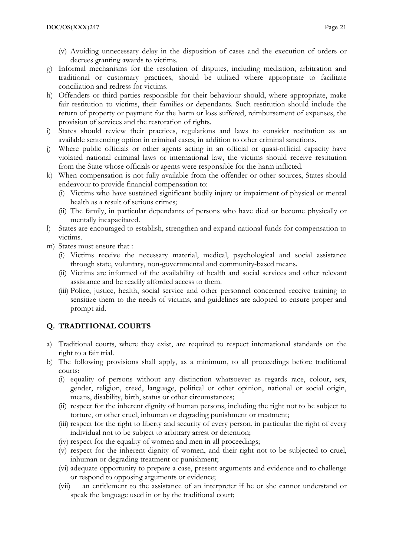- (v) Avoiding unnecessary delay in the disposition of cases and the execution of orders or decrees granting awards to victims.
- g) Informal mechanisms for the resolution of disputes, including mediation, arbitration and traditional or customary practices, should be utilized where appropriate to facilitate conciliation and redress for victims.
- h) Offenders or third parties responsible for their behaviour should, where appropriate, make fair restitution to victims, their families or dependants. Such restitution should include the return of property or payment for the harm or loss suffered, reimbursement of expenses, the provision of services and the restoration of rights.
- i) States should review their practices, regulations and laws to consider restitution as an available sentencing option in criminal cases, in addition to other criminal sanctions.
- j) Where public officials or other agents acting in an official or quasi-official capacity have violated national criminal laws or international law, the victims should receive restitution from the State whose officials or agents were responsible for the harm inflicted.
- k) When compensation is not fully available from the offender or other sources, States should endeavour to provide financial compensation to:
	- (i) Victims who have sustained significant bodily injury or impairment of physical or mental health as a result of serious crimes;
	- (ii) The family, in particular dependants of persons who have died or become physically or mentally incapacitated.
- l) States are encouraged to establish, strengthen and expand national funds for compensation to victims.
- m) States must ensure that :
	- (i) Victims receive the necessary material, medical, psychological and social assistance through state, voluntary, non-governmental and community-based means.
	- (ii) Victims are informed of the availability of health and social services and other relevant assistance and be readily afforded access to them.
	- (iii) Police, justice, health, social service and other personnel concerned receive training to sensitize them to the needs of victims, and guidelines are adopted to ensure proper and prompt aid.

# Q. TRADITIONAL COURTS

- a) Traditional courts, where they exist, are required to respect international standards on the right to a fair trial.
- b) The following provisions shall apply, as a minimum, to all proceedings before traditional courts:
	- (i) equality of persons without any distinction whatsoever as regards race, colour, sex, gender, religion, creed, language, political or other opinion, national or social origin, means, disability, birth, status or other circumstances;
	- (ii) respect for the inherent dignity of human persons, including the right not to be subject to torture, or other cruel, inhuman or degrading punishment or treatment;
	- (iii) respect for the right to liberty and security of every person, in particular the right of every individual not to be subject to arbitrary arrest or detention;
	- (iv) respect for the equality of women and men in all proceedings;
	- (v) respect for the inherent dignity of women, and their right not to be subjected to cruel, inhuman or degrading treatment or punishment;
	- (vi) adequate opportunity to prepare a case, present arguments and evidence and to challenge or respond to opposing arguments or evidence;
	- (vii) an entitlement to the assistance of an interpreter if he or she cannot understand or speak the language used in or by the traditional court;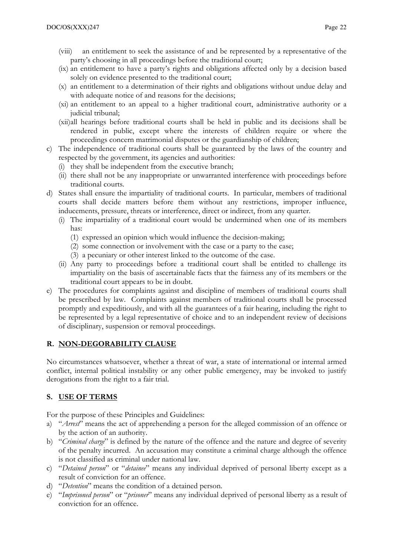- (viii) an entitlement to seek the assistance of and be represented by a representative of the party's choosing in all proceedings before the traditional court;
- (ix) an entitlement to have a party's rights and obligations affected only by a decision based solely on evidence presented to the traditional court;
- (x) an entitlement to a determination of their rights and obligations without undue delay and with adequate notice of and reasons for the decisions;
- (xi) an entitlement to an appeal to a higher traditional court, administrative authority or a judicial tribunal;
- (xii)all hearings before traditional courts shall be held in public and its decisions shall be rendered in public, except where the interests of children require or where the proceedings concern matrimonial disputes or the guardianship of children;
- c) The independence of traditional courts shall be guaranteed by the laws of the country and respected by the government, its agencies and authorities:
	- (i) they shall be independent from the executive branch;
	- (ii) there shall not be any inappropriate or unwarranted interference with proceedings before traditional courts.
- d) States shall ensure the impartiality of traditional courts. In particular, members of traditional courts shall decide matters before them without any restrictions, improper influence, inducements, pressure, threats or interference, direct or indirect, from any quarter.
	- (i) The impartiality of a traditional court would be undermined when one of its members has:
		- (1) expressed an opinion which would influence the decision-making;
		- (2) some connection or involvement with the case or a party to the case;
		- (3) a pecuniary or other interest linked to the outcome of the case.
	- (ii) Any party to proceedings before a traditional court shall be entitled to challenge its impartiality on the basis of ascertainable facts that the fairness any of its members or the traditional court appears to be in doubt.
- e) The procedures for complaints against and discipline of members of traditional courts shall be prescribed by law. Complaints against members of traditional courts shall be processed promptly and expeditiously, and with all the guarantees of a fair hearing, including the right to be represented by a legal representative of choice and to an independent review of decisions of disciplinary, suspension or removal proceedings.

#### R. NON-DEGORABILITY CLAUSE

No circumstances whatsoever, whether a threat of war, a state of international or internal armed conflict, internal political instability or any other public emergency, may be invoked to justify derogations from the right to a fair trial.

#### S. USE OF TERMS

For the purpose of these Principles and Guidelines:

- a) "Arrest" means the act of apprehending a person for the alleged commission of an offence or by the action of an authority.
- b) "Criminal charge" is defined by the nature of the offence and the nature and degree of severity of the penalty incurred. An accusation may constitute a criminal charge although the offence is not classified as criminal under national law.
- c) "Detained person" or "detainee" means any individual deprived of personal liberty except as a result of conviction for an offence.
- d) "Detention" means the condition of a detained person.
- e) "Imprisoned person" or "prisoner" means any individual deprived of personal liberty as a result of conviction for an offence.